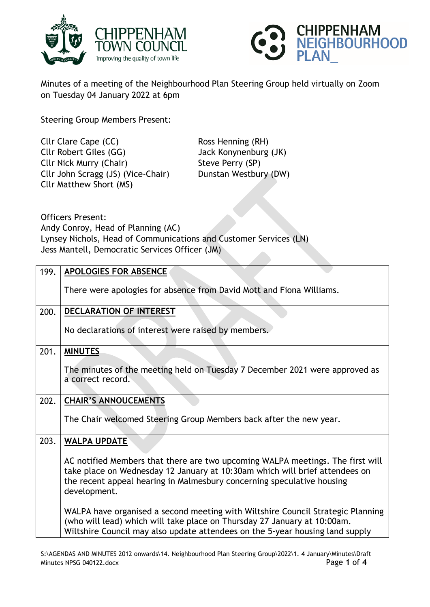



Minutes of a meeting of the Neighbourhood Plan Steering Group held virtually on Zoom on Tuesday 04 January 2022 at 6pm

Steering Group Members Present:

Cllr Clare Cape (CC) Ross Henning (RH) Cllr Robert Giles (GG) Jack Konynenburg (JK) Cllr Nick Murry (Chair) Steve Perry (SP) Cllr John Scragg (JS) (Vice-Chair) Dunstan Westbury (DW) Cllr Matthew Short (MS)

Officers Present: Andy Conroy, Head of Planning (AC) Lynsey Nichols, Head of Communications and Customer Services (LN) Jess Mantell, Democratic Services Officer (JM)

| 199. | <b>APOLOGIES FOR ABSENCE</b>                                                                                                                                                                                                                            |
|------|---------------------------------------------------------------------------------------------------------------------------------------------------------------------------------------------------------------------------------------------------------|
|      | There were apologies for absence from David Mott and Fiona Williams.                                                                                                                                                                                    |
| 200. | DECLARATION OF INTEREST                                                                                                                                                                                                                                 |
|      | No declarations of interest were raised by members.                                                                                                                                                                                                     |
| 201. | <b>MINUTES</b>                                                                                                                                                                                                                                          |
|      | The minutes of the meeting held on Tuesday 7 December 2021 were approved as<br>a correct record.                                                                                                                                                        |
| 202. | <b>CHAIR'S ANNOUCEMENTS</b>                                                                                                                                                                                                                             |
|      | The Chair welcomed Steering Group Members back after the new year.                                                                                                                                                                                      |
| 203. | <b>WALPA UPDATE</b>                                                                                                                                                                                                                                     |
|      | AC notified Members that there are two upcoming WALPA meetings. The first will<br>take place on Wednesday 12 January at 10:30am which will brief attendees on<br>the recent appeal hearing in Malmesbury concerning speculative housing<br>development. |
|      | WALPA have organised a second meeting with Wiltshire Council Strategic Planning<br>(who will lead) which will take place on Thursday 27 January at 10:00am.<br>Wiltshire Council may also update attendees on the 5-year housing land supply            |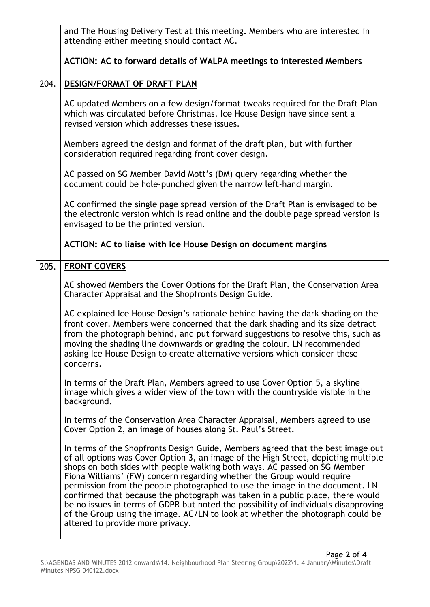|      | and The Housing Delivery Test at this meeting. Members who are interested in<br>attending either meeting should contact AC.                                                                                                                                                                                                                                                                                                                                                                                                                                                                                                                                                                                 |
|------|-------------------------------------------------------------------------------------------------------------------------------------------------------------------------------------------------------------------------------------------------------------------------------------------------------------------------------------------------------------------------------------------------------------------------------------------------------------------------------------------------------------------------------------------------------------------------------------------------------------------------------------------------------------------------------------------------------------|
|      | ACTION: AC to forward details of WALPA meetings to interested Members                                                                                                                                                                                                                                                                                                                                                                                                                                                                                                                                                                                                                                       |
| 204. | DESIGN/FORMAT OF DRAFT PLAN                                                                                                                                                                                                                                                                                                                                                                                                                                                                                                                                                                                                                                                                                 |
|      | AC updated Members on a few design/format tweaks required for the Draft Plan<br>which was circulated before Christmas. Ice House Design have since sent a<br>revised version which addresses these issues.                                                                                                                                                                                                                                                                                                                                                                                                                                                                                                  |
|      | Members agreed the design and format of the draft plan, but with further<br>consideration required regarding front cover design.                                                                                                                                                                                                                                                                                                                                                                                                                                                                                                                                                                            |
|      | AC passed on SG Member David Mott's (DM) query regarding whether the<br>document could be hole-punched given the narrow left-hand margin.                                                                                                                                                                                                                                                                                                                                                                                                                                                                                                                                                                   |
|      | AC confirmed the single page spread version of the Draft Plan is envisaged to be<br>the electronic version which is read online and the double page spread version is<br>envisaged to be the printed version.                                                                                                                                                                                                                                                                                                                                                                                                                                                                                               |
|      | ACTION: AC to liaise with Ice House Design on document margins                                                                                                                                                                                                                                                                                                                                                                                                                                                                                                                                                                                                                                              |
| 205. | <b>FRONT COVERS</b>                                                                                                                                                                                                                                                                                                                                                                                                                                                                                                                                                                                                                                                                                         |
|      | AC showed Members the Cover Options for the Draft Plan, the Conservation Area<br>Character Appraisal and the Shopfronts Design Guide.                                                                                                                                                                                                                                                                                                                                                                                                                                                                                                                                                                       |
|      | AC explained Ice House Design's rationale behind having the dark shading on the<br>front cover. Members were concerned that the dark shading and its size detract<br>from the photograph behind, and put forward suggestions to resolve this, such as<br>moving the shading line downwards or grading the colour. LN recommended<br>asking Ice House Design to create alternative versions which consider these<br>concerns.                                                                                                                                                                                                                                                                                |
|      | In terms of the Draft Plan, Members agreed to use Cover Option 5, a skyline<br>image which gives a wider view of the town with the countryside visible in the<br>background.                                                                                                                                                                                                                                                                                                                                                                                                                                                                                                                                |
|      | In terms of the Conservation Area Character Appraisal, Members agreed to use<br>Cover Option 2, an image of houses along St. Paul's Street.                                                                                                                                                                                                                                                                                                                                                                                                                                                                                                                                                                 |
|      | In terms of the Shopfronts Design Guide, Members agreed that the best image out<br>of all options was Cover Option 3, an image of the High Street, depicting multiple<br>shops on both sides with people walking both ways. AC passed on SG Member<br>Fiona Williams' (FW) concern regarding whether the Group would require<br>permission from the people photographed to use the image in the document. LN<br>confirmed that because the photograph was taken in a public place, there would<br>be no issues in terms of GDPR but noted the possibility of individuals disapproving<br>of the Group using the image. AC/LN to look at whether the photograph could be<br>altered to provide more privacy. |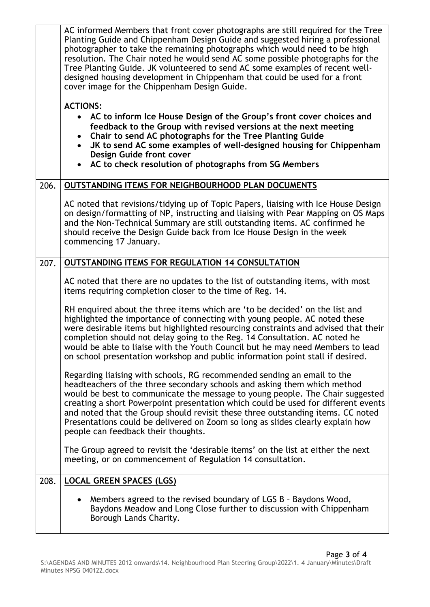|      | AC informed Members that front cover photographs are still required for the Tree<br>Planting Guide and Chippenham Design Guide and suggested hiring a professional<br>photographer to take the remaining photographs which would need to be high<br>resolution. The Chair noted he would send AC some possible photographs for the<br>Tree Planting Guide. JK volunteered to send AC some examples of recent well-<br>designed housing development in Chippenham that could be used for a front<br>cover image for the Chippenham Design Guide.<br><b>ACTIONS:</b><br>AC to inform Ice House Design of the Group's front cover choices and<br>feedback to the Group with revised versions at the next meeting |
|------|---------------------------------------------------------------------------------------------------------------------------------------------------------------------------------------------------------------------------------------------------------------------------------------------------------------------------------------------------------------------------------------------------------------------------------------------------------------------------------------------------------------------------------------------------------------------------------------------------------------------------------------------------------------------------------------------------------------|
|      | Chair to send AC photographs for the Tree Planting Guide<br>$\bullet$<br>JK to send AC some examples of well-designed housing for Chippenham<br>Design Guide front cover<br>AC to check resolution of photographs from SG Members                                                                                                                                                                                                                                                                                                                                                                                                                                                                             |
| 206. | OUTSTANDING ITEMS FOR NEIGHBOURHOOD PLAN DOCUMENTS                                                                                                                                                                                                                                                                                                                                                                                                                                                                                                                                                                                                                                                            |
|      | AC noted that revisions/tidying up of Topic Papers, liaising with Ice House Design<br>on design/formatting of NP, instructing and liaising with Pear Mapping on OS Maps<br>and the Non-Technical Summary are still outstanding items. AC confirmed he<br>should receive the Design Guide back from Ice House Design in the week<br>commencing 17 January.                                                                                                                                                                                                                                                                                                                                                     |
| 207. | OUTSTANDING ITEMS FOR REGULATION 14 CONSULTATION                                                                                                                                                                                                                                                                                                                                                                                                                                                                                                                                                                                                                                                              |
|      | AC noted that there are no updates to the list of outstanding items, with most<br>items requiring completion closer to the time of Reg. 14.                                                                                                                                                                                                                                                                                                                                                                                                                                                                                                                                                                   |
|      | RH enquired about the three items which are 'to be decided' on the list and<br>highlighted the importance of connecting with young people. AC noted these<br>were desirable items but highlighted resourcing constraints and advised that their<br>completion should not delay going to the Reg. 14 Consultation. AC noted he<br>would be able to liaise with the Youth Council but he may need Members to lead<br>on school presentation workshop and public information point stall if desired.                                                                                                                                                                                                             |
|      | Regarding liaising with schools, RG recommended sending an email to the<br>headteachers of the three secondary schools and asking them which method<br>would be best to communicate the message to young people. The Chair suggested<br>creating a short Powerpoint presentation which could be used for different events<br>and noted that the Group should revisit these three outstanding items. CC noted<br>Presentations could be delivered on Zoom so long as slides clearly explain how<br>people can feedback their thoughts.                                                                                                                                                                         |
|      | The Group agreed to revisit the 'desirable items' on the list at either the next<br>meeting, or on commencement of Regulation 14 consultation.                                                                                                                                                                                                                                                                                                                                                                                                                                                                                                                                                                |
| 208. | <b>LOCAL GREEN SPACES (LGS)</b>                                                                                                                                                                                                                                                                                                                                                                                                                                                                                                                                                                                                                                                                               |
|      | Members agreed to the revised boundary of LGS B - Baydons Wood,<br>Baydons Meadow and Long Close further to discussion with Chippenham<br>Borough Lands Charity.                                                                                                                                                                                                                                                                                                                                                                                                                                                                                                                                              |